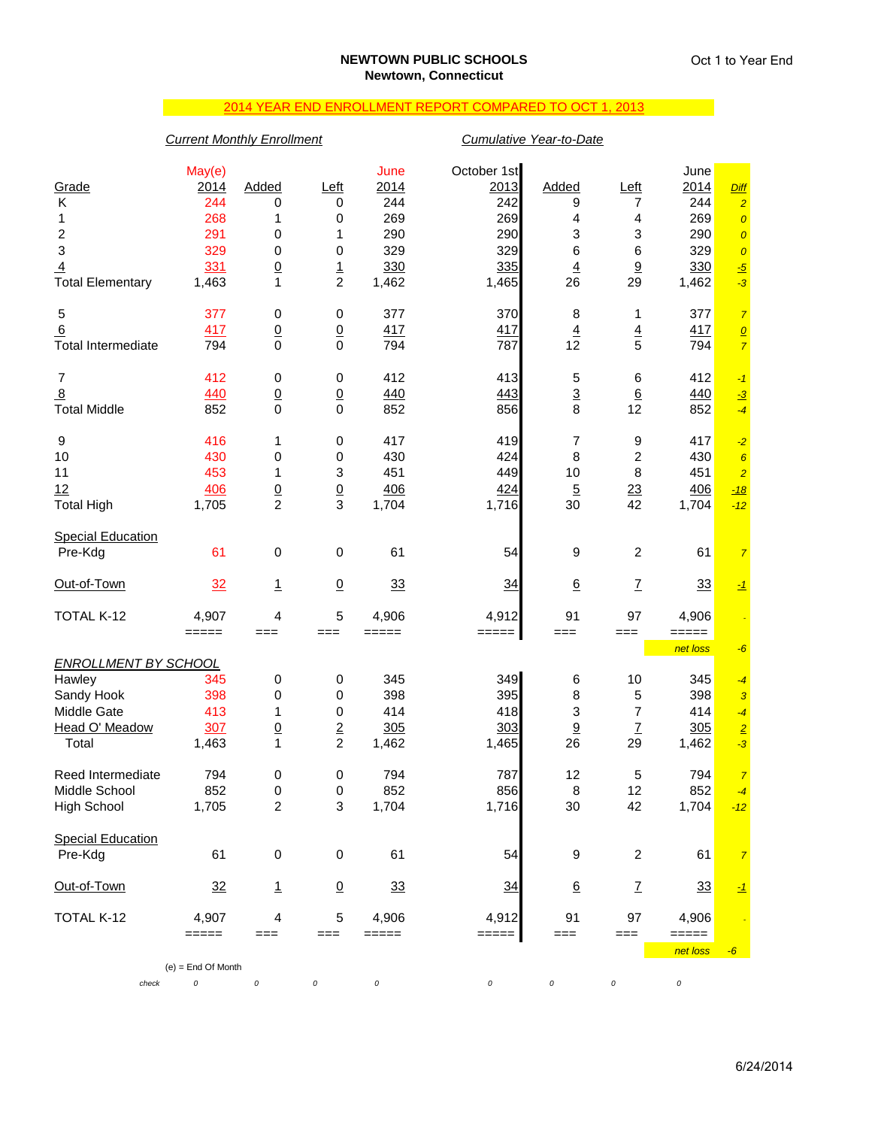# 2014 YEAR END ENROLLMENT REPORT COMPARED TO OCT 1, 2013

## *Current Monthly Enrollment Cumulative Year-to-Date*

|                                       | May(e)               |                               |                               | June       | October 1st         |                           |                          | June              |                        |
|---------------------------------------|----------------------|-------------------------------|-------------------------------|------------|---------------------|---------------------------|--------------------------|-------------------|------------------------|
| Grade                                 | 2014                 | Added                         | $L$ eft                       | 2014       | 2013                | Added                     | Left                     | 2014              | <b>Diff</b>            |
| Κ                                     | 244                  | 0                             | 0                             | 244        | 242                 | 9                         | 7                        | 244               | $\overline{2}$         |
| 1                                     | 268                  | 1                             | 0                             | 269        | 269                 | 4                         | 4                        | 269               | $\pmb{\mathcal{O}}$    |
| $\overline{\mathbf{c}}$               | 291                  | 0                             | 1                             | 290        | 290                 | 3                         | 3                        | 290               | $\overline{0}$         |
| 3                                     | 329                  | 0                             | 0                             | 329        | 329                 | 6                         | 6                        | 329               | $\boldsymbol{o}$       |
| 4                                     | 331                  | $\underline{0}$               | $\frac{1}{2}$                 | 330        | 335                 | $\underline{4}$           | 9                        | 330               | $\frac{-5}{-3}$        |
| <b>Total Elementary</b>               | 1,463                | 1                             |                               | 1,462      | 1,465               | 26                        | 29                       | 1,462             |                        |
| 5                                     | 377                  | 0                             | 0                             | 377        | 370                 | 8                         | 1                        | 377               | $\overline{7}$         |
| 6                                     | 417                  | $\underline{0}$               | $\overline{0}$                | 417        | 417                 | $\overline{4}$            | $\overline{4}$           | 417               | $\mathbf{Q}$           |
| <b>Total Intermediate</b>             | 794                  | 0                             | $\mathbf 0$                   | 794        | 787                 | 12                        | 5                        | 794               | $\overline{7}$         |
|                                       | 412                  |                               |                               | 412        |                     |                           |                          |                   |                        |
| $\overline{7}$                        |                      | 0                             | 0                             |            | 413                 | 5                         | 6                        | 412               | $-1$                   |
| $\overline{8}$<br><b>Total Middle</b> | 440<br>852           | $\overline{0}$<br>$\mathbf 0$ | $\overline{0}$<br>$\mathbf 0$ | 440<br>852 | 443                 | $\frac{3}{8}$             | $\underline{6}$<br>12    | 440<br>852        | $\frac{-3}{2}$<br>$-4$ |
|                                       |                      |                               |                               |            | 856                 |                           |                          |                   |                        |
| 9                                     | 416                  | 1                             | 0                             | 417        | 419                 | $\overline{7}$            | 9                        | 417               | $-2$                   |
| 10                                    | 430                  | 0                             | 0                             | 430        | 424                 | 8                         | $\overline{\mathbf{c}}$  | 430               | $\boldsymbol{6}$       |
| 11                                    | 453                  | 1                             | 3                             | 451        | 449                 | 10                        | 8                        | 451               | $\overline{2}$         |
| 12                                    | 406                  | $\frac{0}{2}$                 | $\frac{0}{3}$                 | 406        | 424                 | $\overline{5}$            | 23                       | 406               | $-18$                  |
| <b>Total High</b>                     | 1,705                |                               |                               | 1,704      | 1,716               | 30                        | 42                       | 1,704             | $-12$                  |
| <b>Special Education</b>              |                      |                               |                               |            |                     |                           |                          |                   |                        |
| Pre-Kdg                               | 61                   | $\pmb{0}$                     | $\pmb{0}$                     | 61         | 54                  | 9                         | $\overline{c}$           | 61                | $\overline{7}$         |
| Out-of-Town                           | 32                   |                               |                               | 33         | 34                  | 6                         |                          |                   |                        |
|                                       |                      | <u>1</u>                      | $\underline{0}$               |            |                     |                           | $\underline{\mathsf{7}}$ | 33                | $-1$                   |
| TOTAL K-12                            | 4,907                | 4                             | 5                             | 4,906      | 4,912               | 91                        | 97                       | 4,906             |                        |
|                                       | $=====$              | ===                           | ===                           | $=====$    | $====$              | $==$                      | $==$                     | =====             |                        |
| <b>ENROLLMENT BY SCHOOL</b>           |                      |                               |                               |            |                     |                           |                          | net loss          | $-6$                   |
| Hawley                                | 345                  | 0                             | $\pmb{0}$                     | 345        | 349                 | 6                         | 10                       | 345               | $-4$                   |
| Sandy Hook                            | 398                  | 0                             | $\pmb{0}$                     | 398        | 395                 | 8                         | 5                        | 398               | $\mathbf{3}$           |
| Middle Gate                           | 413                  | 1                             | 0                             | 414        | 418                 | $\ensuremath{\mathsf{3}}$ | 7                        | 414               | $-4$                   |
| Head O' Meadow                        | 307                  | $\underline{0}$               |                               | 305        | 303                 | 9                         | $\underline{\mathsf{7}}$ | 305               | $\sqrt{2}$             |
| Total                                 | 1,463                | 1                             | $\frac{2}{2}$                 | 1,462      | 1,465               | 26                        | 29                       | 1,462             | $-3$                   |
|                                       |                      |                               |                               |            |                     |                           |                          |                   |                        |
| Reed Intermediate                     | 794                  | 0                             | 0                             | 794        | 787                 | 12                        | 5                        | 794               | $\overline{7}$         |
| Middle School                         | 852                  | 0                             | $\mathbf 0$                   | 852        | 856                 | 8                         | 12                       | 852               | $-4$                   |
| <b>High School</b>                    | 1,705                | $\overline{c}$                | $\ensuremath{\mathsf{3}}$     | 1,704      | 1,716               | 30                        | 42                       | 1,704             | $-12$                  |
| <b>Special Education</b>              |                      |                               |                               |            |                     |                           |                          |                   |                        |
| Pre-Kdg                               | 61                   | $\pmb{0}$                     | $\pmb{0}$                     | 61         | 54                  | 9                         | $\overline{c}$           | 61                | $\overline{7}$         |
| Out-of-Town                           | 32                   |                               | $\underline{0}$               | 33         | 34                  | $\underline{6}$           |                          | 33                |                        |
|                                       |                      | $\mathbf{1}$                  |                               |            |                     |                           | Z                        |                   | $\mathbf{I}$           |
| TOTAL K-12                            | 4,907                | 4                             | 5                             | 4,906      | 4,912               | 91                        | 97                       | 4,906             |                        |
|                                       | =====                | ===                           | $==$                          | =====      | $=$ $=$ $=$ $=$ $ $ | $==$                      | $==$                     | =====<br>net loss | $-6$                   |
|                                       | $(e)$ = End Of Month |                               |                               |            |                     |                           |                          |                   |                        |
| check                                 | 0                    | $\cal O$                      | 0                             | 0          | 0                   | 0                         | 0                        | 0                 |                        |